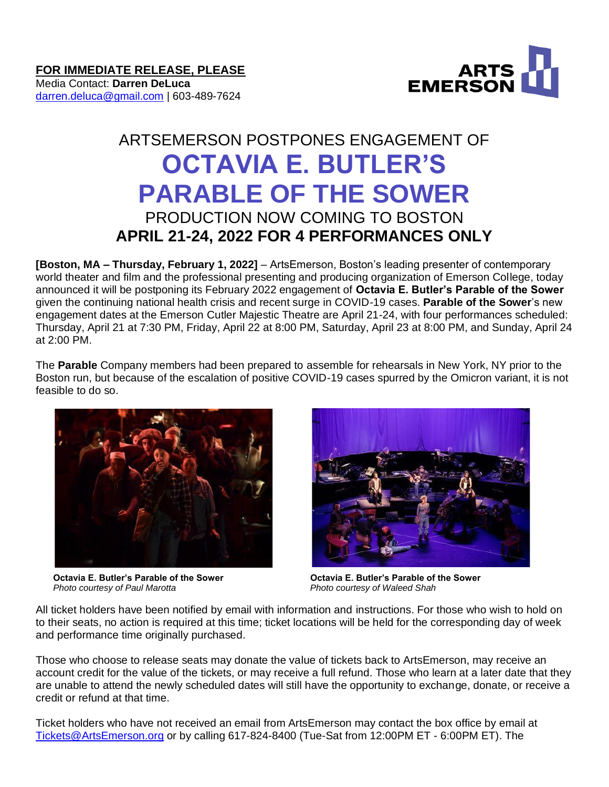ARTS<br>EMERSON

## Media Contact: **Darren DeLuca** [darren.deluca@gmail.com](mailto:darren.deluca@gmail.com) | 603-489-7624

## ARTSEMERSON POSTPONES ENGAGEMENT OF **OCTAVIA E. BUTLER'S PARABLE OF THE SOWER** PRODUCTION NOW COMING TO BOSTON **APRIL 21-24, 2022 FOR 4 PERFORMANCES ONLY**

**[Boston, MA – Thursday, February 1, 2022]** – ArtsEmerson, Boston's leading presenter of contemporary world theater and film and the professional presenting and producing organization of Emerson College, today announced it will be postponing its February 2022 engagement of **Octavia E. Butler's Parable of the Sower** given the continuing national health crisis and recent surge in COVID-19 cases. **Parable of the Sower**'s new engagement dates at the Emerson Cutler Majestic Theatre are April 21-24, with four performances scheduled: Thursday, April 21 at 7:30 PM, Friday, April 22 at 8:00 PM, Saturday, April 23 at 8:00 PM, and Sunday, April 24 at 2:00 PM.

The **Parable** Company members had been prepared to assemble for rehearsals in New York, NY prior to the Boston run, but because of the escalation of positive COVID-19 cases spurred by the Omicron variant, it is not feasible to do so.



*Photo courtesy of Paul Marotta Photo courtesy of Waleed Shah*



**Octavia E. Butler's Parable of the Sower Octavia E. Butler's Parable of the Sower**

All ticket holders have been notified by email with information and instructions. For those who wish to hold on to their seats, no action is required at this time; ticket locations will be held for the corresponding day of week and performance time originally purchased.

Those who choose to release seats may donate the value of tickets back to ArtsEmerson, may receive an account credit for the value of the tickets, or may receive a full refund. Those who learn at a later date that they are unable to attend the newly scheduled dates will still have the opportunity to exchange, donate, or receive a credit or refund at that time.

Ticket holders who have not received an email from ArtsEmerson may contact the box office by email at [Tickets@ArtsEmerson.org](mailto:Tickets@ArtsEmerson.org) or by calling 617-824-8400 (Tue-Sat from 12:00PM ET - 6:00PM ET). The